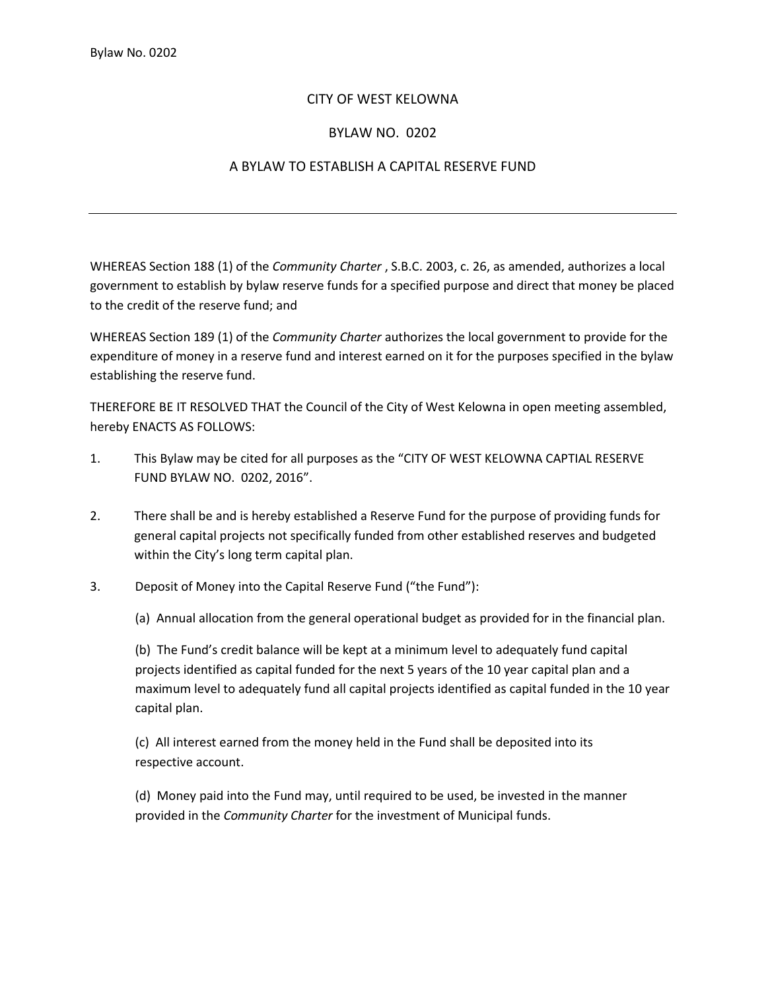## CITY OF WEST KELOWNA

## BYLAW NO. 0202

## A BYLAW TO ESTABLISH A CAPITAL RESERVE FUND

WHEREAS Section 188 (1) of the *Community Charter* , S.B.C. 2003, c. 26, as amended, authorizes a local government to establish by bylaw reserve funds for a specified purpose and direct that money be placed to the credit of the reserve fund; and

WHEREAS Section 189 (1) of the *Community Charter* authorizes the local government to provide for the expenditure of money in a reserve fund and interest earned on it for the purposes specified in the bylaw establishing the reserve fund.

THEREFORE BE IT RESOLVED THAT the Council of the City of West Kelowna in open meeting assembled, hereby ENACTS AS FOLLOWS:

- 1. This Bylaw may be cited for all purposes as the "CITY OF WEST KELOWNA CAPTIAL RESERVE FUND BYLAW NO. 0202, 2016".
- 2. There shall be and is hereby established a Reserve Fund for the purpose of providing funds for general capital projects not specifically funded from other established reserves and budgeted within the City's long term capital plan.
- 3. Deposit of Money into the Capital Reserve Fund ("the Fund"):

(a) Annual allocation from the general operational budget as provided for in the financial plan.

(b) The Fund's credit balance will be kept at a minimum level to adequately fund capital projects identified as capital funded for the next 5 years of the 10 year capital plan and a maximum level to adequately fund all capital projects identified as capital funded in the 10 year capital plan.

(c) All interest earned from the money held in the Fund shall be deposited into its respective account.

(d) Money paid into the Fund may, until required to be used, be invested in the manner provided in the *Community Charter* for the investment of Municipal funds.